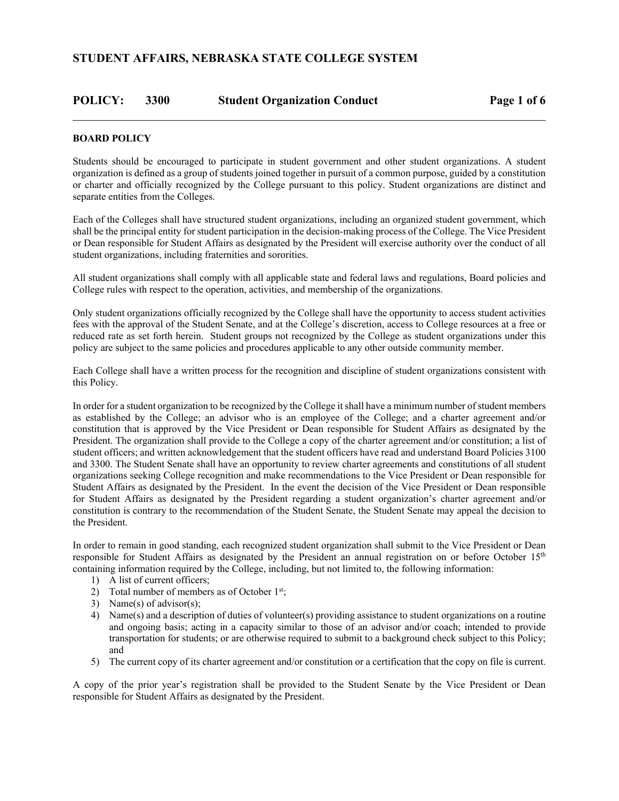# **POLICY: 3300 Student Organization Conduct Page 1 of 6**

### **BOARD POLICY**

Students should be encouraged to participate in student government and other student organizations. A student organization is defined as a group of students joined together in pursuit of a common purpose, guided by a constitution or charter and officially recognized by the College pursuant to this policy. Student organizations are distinct and separate entities from the Colleges.

Each of the Colleges shall have structured student organizations, including an organized student government, which shall be the principal entity for student participation in the decision-making process of the College. The Vice President or Dean responsible for Student Affairs as designated by the President will exercise authority over the conduct of all student organizations, including fraternities and sororities.

All student organizations shall comply with all applicable state and federal laws and regulations, Board policies and College rules with respect to the operation, activities, and membership of the organizations.

Only student organizations officially recognized by the College shall have the opportunity to access student activities fees with the approval of the Student Senate, and at the College's discretion, access to College resources at a free or reduced rate as set forth herein. Student groups not recognized by the College as student organizations under this policy are subject to the same policies and procedures applicable to any other outside community member.

Each College shall have a written process for the recognition and discipline of student organizations consistent with this Policy.

In order for a student organization to be recognized by the College it shall have a minimum number of student members as established by the College; an advisor who is an employee of the College; and a charter agreement and/or constitution that is approved by the Vice President or Dean responsible for Student Affairs as designated by the President. The organization shall provide to the College a copy of the charter agreement and/or constitution; a list of student officers; and written acknowledgement that the student officers have read and understand Board Policies 3100 and 3300. The Student Senate shall have an opportunity to review charter agreements and constitutions of all student organizations seeking College recognition and make recommendations to the Vice President or Dean responsible for Student Affairs as designated by the President. In the event the decision of the Vice President or Dean responsible for Student Affairs as designated by the President regarding a student organization's charter agreement and/or constitution is contrary to the recommendation of the Student Senate, the Student Senate may appeal the decision to the President.

In order to remain in good standing, each recognized student organization shall submit to the Vice President or Dean responsible for Student Affairs as designated by the President an annual registration on or before October 15<sup>th</sup> containing information required by the College, including, but not limited to, the following information:

- 1) A list of current officers;
- 2) Total number of members as of October  $1<sup>st</sup>$ ;
- 3) Name(s) of advisor(s);
- 4) Name(s) and a description of duties of volunteer(s) providing assistance to student organizations on a routine and ongoing basis; acting in a capacity similar to those of an advisor and/or coach; intended to provide transportation for students; or are otherwise required to submit to a background check subject to this Policy; and
- 5) The current copy of its charter agreement and/or constitution or a certification that the copy on file is current.

A copy of the prior year's registration shall be provided to the Student Senate by the Vice President or Dean responsible for Student Affairs as designated by the President.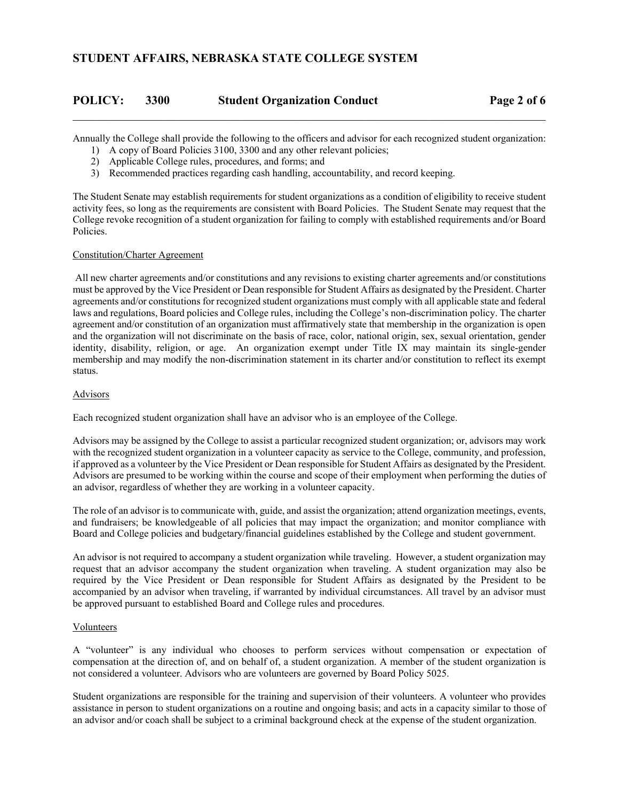| <b>POLICY:</b> | 3300 | <b>Student Organization Conduct</b> | Page 2 of 6 |
|----------------|------|-------------------------------------|-------------|
|                |      |                                     |             |

Annually the College shall provide the following to the officers and advisor for each recognized student organization:

- 1) A copy of Board Policies 3100, 3300 and any other relevant policies;
- 2) Applicable College rules, procedures, and forms; and
- 3) Recommended practices regarding cash handling, accountability, and record keeping.

The Student Senate may establish requirements for student organizations as a condition of eligibility to receive student activity fees, so long as the requirements are consistent with Board Policies. The Student Senate may request that the College revoke recognition of a student organization for failing to comply with established requirements and/or Board Policies.

### Constitution/Charter Agreement

 All new charter agreements and/or constitutions and any revisions to existing charter agreements and/or constitutions must be approved by the Vice President or Dean responsible for Student Affairs as designated by the President. Charter agreements and/or constitutions for recognized student organizations must comply with all applicable state and federal laws and regulations, Board policies and College rules, including the College's non-discrimination policy. The charter agreement and/or constitution of an organization must affirmatively state that membership in the organization is open and the organization will not discriminate on the basis of race, color, national origin, sex, sexual orientation, gender identity, disability, religion, or age. An organization exempt under Title IX may maintain its single-gender membership and may modify the non-discrimination statement in its charter and/or constitution to reflect its exempt status.

### Advisors

Each recognized student organization shall have an advisor who is an employee of the College.

Advisors may be assigned by the College to assist a particular recognized student organization; or, advisors may work with the recognized student organization in a volunteer capacity as service to the College, community, and profession, if approved as a volunteer by the Vice President or Dean responsible for Student Affairs as designated by the President. Advisors are presumed to be working within the course and scope of their employment when performing the duties of an advisor, regardless of whether they are working in a volunteer capacity.

The role of an advisor is to communicate with, guide, and assist the organization; attend organization meetings, events, and fundraisers; be knowledgeable of all policies that may impact the organization; and monitor compliance with Board and College policies and budgetary/financial guidelines established by the College and student government.

An advisor is not required to accompany a student organization while traveling. However, a student organization may request that an advisor accompany the student organization when traveling. A student organization may also be required by the Vice President or Dean responsible for Student Affairs as designated by the President to be accompanied by an advisor when traveling, if warranted by individual circumstances. All travel by an advisor must be approved pursuant to established Board and College rules and procedures.

### Volunteers

A "volunteer" is any individual who chooses to perform services without compensation or expectation of compensation at the direction of, and on behalf of, a student organization. A member of the student organization is not considered a volunteer. Advisors who are volunteers are governed by Board Policy 5025.

Student organizations are responsible for the training and supervision of their volunteers. A volunteer who provides assistance in person to student organizations on a routine and ongoing basis; and acts in a capacity similar to those of an advisor and/or coach shall be subject to a criminal background check at the expense of the student organization.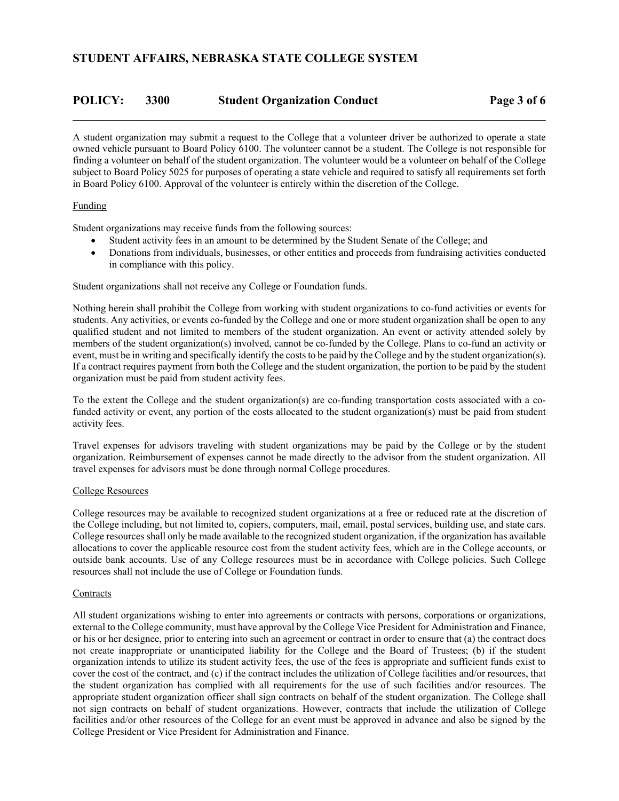# **POLICY: 3300 Student Organization Conduct Page 3 of 6**

A student organization may submit a request to the College that a volunteer driver be authorized to operate a state owned vehicle pursuant to Board Policy 6100. The volunteer cannot be a student. The College is not responsible for finding a volunteer on behalf of the student organization. The volunteer would be a volunteer on behalf of the College subject to Board Policy 5025 for purposes of operating a state vehicle and required to satisfy all requirements set forth in Board Policy 6100. Approval of the volunteer is entirely within the discretion of the College.

### Funding

Student organizations may receive funds from the following sources:

- Student activity fees in an amount to be determined by the Student Senate of the College; and
- Donations from individuals, businesses, or other entities and proceeds from fundraising activities conducted in compliance with this policy.

Student organizations shall not receive any College or Foundation funds.

Nothing herein shall prohibit the College from working with student organizations to co-fund activities or events for students. Any activities, or events co-funded by the College and one or more student organization shall be open to any qualified student and not limited to members of the student organization. An event or activity attended solely by members of the student organization(s) involved, cannot be co-funded by the College. Plans to co-fund an activity or event, must be in writing and specifically identify the costs to be paid by the College and by the student organization(s). If a contract requires payment from both the College and the student organization, the portion to be paid by the student organization must be paid from student activity fees.

To the extent the College and the student organization(s) are co-funding transportation costs associated with a cofunded activity or event, any portion of the costs allocated to the student organization(s) must be paid from student activity fees.

Travel expenses for advisors traveling with student organizations may be paid by the College or by the student organization. Reimbursement of expenses cannot be made directly to the advisor from the student organization. All travel expenses for advisors must be done through normal College procedures.

#### College Resources

College resources may be available to recognized student organizations at a free or reduced rate at the discretion of the College including, but not limited to, copiers, computers, mail, email, postal services, building use, and state cars. College resources shall only be made available to the recognized student organization, if the organization has available allocations to cover the applicable resource cost from the student activity fees, which are in the College accounts, or outside bank accounts. Use of any College resources must be in accordance with College policies. Such College resources shall not include the use of College or Foundation funds.

#### **Contracts**

All student organizations wishing to enter into agreements or contracts with persons, corporations or organizations, external to the College community, must have approval by the College Vice President for Administration and Finance, or his or her designee, prior to entering into such an agreement or contract in order to ensure that (a) the contract does not create inappropriate or unanticipated liability for the College and the Board of Trustees; (b) if the student organization intends to utilize its student activity fees, the use of the fees is appropriate and sufficient funds exist to cover the cost of the contract, and (c) if the contract includes the utilization of College facilities and/or resources, that the student organization has complied with all requirements for the use of such facilities and/or resources. The appropriate student organization officer shall sign contracts on behalf of the student organization. The College shall not sign contracts on behalf of student organizations. However, contracts that include the utilization of College facilities and/or other resources of the College for an event must be approved in advance and also be signed by the College President or Vice President for Administration and Finance.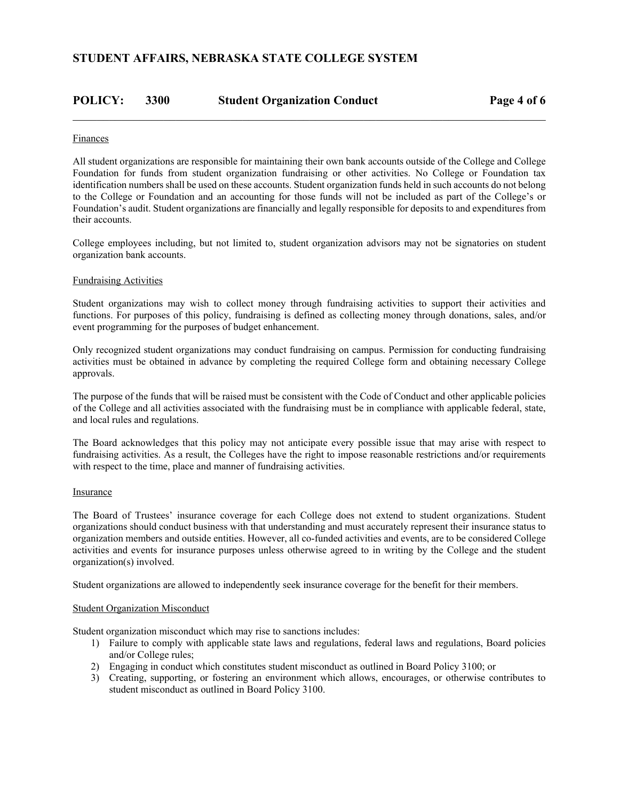# **POLICY: 3300 Student Organization Conduct Page 4 of 6**

#### Finances

All student organizations are responsible for maintaining their own bank accounts outside of the College and College Foundation for funds from student organization fundraising or other activities. No College or Foundation tax identification numbers shall be used on these accounts. Student organization funds held in such accounts do not belong to the College or Foundation and an accounting for those funds will not be included as part of the College's or Foundation's audit. Student organizations are financially and legally responsible for deposits to and expenditures from their accounts.

College employees including, but not limited to, student organization advisors may not be signatories on student organization bank accounts.

#### Fundraising Activities

Student organizations may wish to collect money through fundraising activities to support their activities and functions. For purposes of this policy, fundraising is defined as collecting money through donations, sales, and/or event programming for the purposes of budget enhancement.

Only recognized student organizations may conduct fundraising on campus. Permission for conducting fundraising activities must be obtained in advance by completing the required College form and obtaining necessary College approvals.

The purpose of the funds that will be raised must be consistent with the Code of Conduct and other applicable policies of the College and all activities associated with the fundraising must be in compliance with applicable federal, state, and local rules and regulations.

The Board acknowledges that this policy may not anticipate every possible issue that may arise with respect to fundraising activities. As a result, the Colleges have the right to impose reasonable restrictions and/or requirements with respect to the time, place and manner of fundraising activities.

#### **Insurance**

The Board of Trustees' insurance coverage for each College does not extend to student organizations. Student organizations should conduct business with that understanding and must accurately represent their insurance status to organization members and outside entities. However, all co-funded activities and events, are to be considered College activities and events for insurance purposes unless otherwise agreed to in writing by the College and the student organization(s) involved.

Student organizations are allowed to independently seek insurance coverage for the benefit for their members.

#### Student Organization Misconduct

Student organization misconduct which may rise to sanctions includes:

- 1) Failure to comply with applicable state laws and regulations, federal laws and regulations, Board policies and/or College rules;
- 2) Engaging in conduct which constitutes student misconduct as outlined in Board Policy 3100; or
- 3) Creating, supporting, or fostering an environment which allows, encourages, or otherwise contributes to student misconduct as outlined in Board Policy 3100.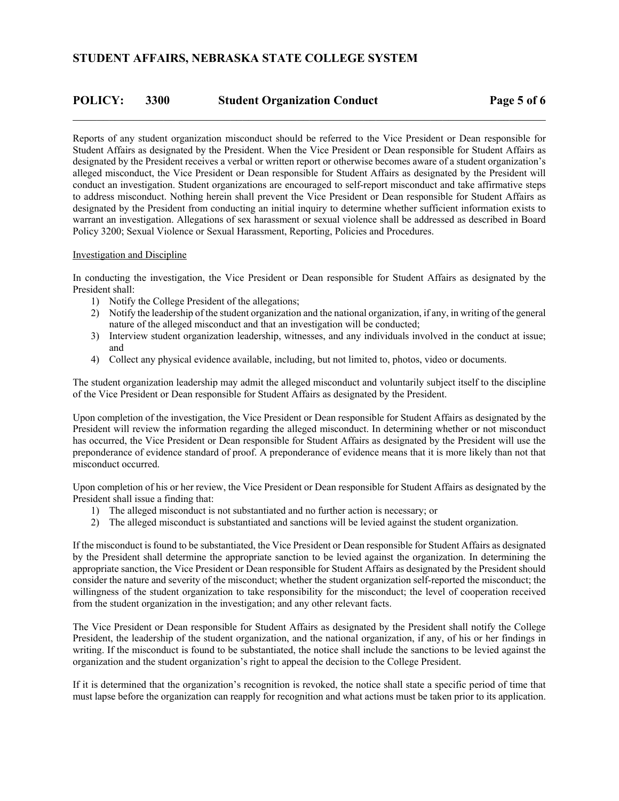### **POLICY: 3300 Student Organization Conduct Page 5 of 6**

Reports of any student organization misconduct should be referred to the Vice President or Dean responsible for Student Affairs as designated by the President. When the Vice President or Dean responsible for Student Affairs as designated by the President receives a verbal or written report or otherwise becomes aware of a student organization's alleged misconduct, the Vice President or Dean responsible for Student Affairs as designated by the President will conduct an investigation. Student organizations are encouraged to self-report misconduct and take affirmative steps to address misconduct. Nothing herein shall prevent the Vice President or Dean responsible for Student Affairs as designated by the President from conducting an initial inquiry to determine whether sufficient information exists to warrant an investigation. Allegations of sex harassment or sexual violence shall be addressed as described in Board Policy 3200; Sexual Violence or Sexual Harassment, Reporting, Policies and Procedures.

#### Investigation and Discipline

In conducting the investigation, the Vice President or Dean responsible for Student Affairs as designated by the President shall:

- 1) Notify the College President of the allegations;
- 2) Notify the leadership of the student organization and the national organization, if any, in writing of the general nature of the alleged misconduct and that an investigation will be conducted;
- 3) Interview student organization leadership, witnesses, and any individuals involved in the conduct at issue; and
- 4) Collect any physical evidence available, including, but not limited to, photos, video or documents.

The student organization leadership may admit the alleged misconduct and voluntarily subject itself to the discipline of the Vice President or Dean responsible for Student Affairs as designated by the President.

Upon completion of the investigation, the Vice President or Dean responsible for Student Affairs as designated by the President will review the information regarding the alleged misconduct. In determining whether or not misconduct has occurred, the Vice President or Dean responsible for Student Affairs as designated by the President will use the preponderance of evidence standard of proof. A preponderance of evidence means that it is more likely than not that misconduct occurred.

Upon completion of his or her review, the Vice President or Dean responsible for Student Affairs as designated by the President shall issue a finding that:

- 1) The alleged misconduct is not substantiated and no further action is necessary; or
- 2) The alleged misconduct is substantiated and sanctions will be levied against the student organization.

If the misconduct is found to be substantiated, the Vice President or Dean responsible for Student Affairs as designated by the President shall determine the appropriate sanction to be levied against the organization. In determining the appropriate sanction, the Vice President or Dean responsible for Student Affairs as designated by the President should consider the nature and severity of the misconduct; whether the student organization self-reported the misconduct; the willingness of the student organization to take responsibility for the misconduct; the level of cooperation received from the student organization in the investigation; and any other relevant facts.

The Vice President or Dean responsible for Student Affairs as designated by the President shall notify the College President, the leadership of the student organization, and the national organization, if any, of his or her findings in writing. If the misconduct is found to be substantiated, the notice shall include the sanctions to be levied against the organization and the student organization's right to appeal the decision to the College President.

If it is determined that the organization's recognition is revoked, the notice shall state a specific period of time that must lapse before the organization can reapply for recognition and what actions must be taken prior to its application.